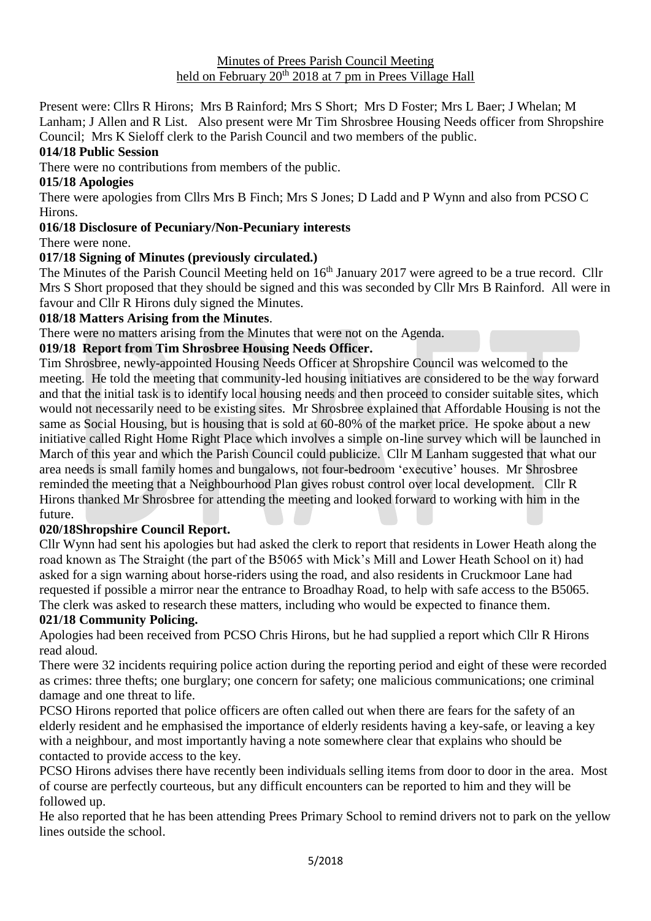#### Minutes of Prees Parish Council Meeting held on February 20<sup>th</sup> 2018 at 7 pm in Prees Village Hall

Present were: Cllrs R Hirons; Mrs B Rainford; Mrs S Short; Mrs D Foster; Mrs L Baer; J Whelan; M

Lanham; J Allen and R List. Also present were Mr Tim Shrosbree Housing Needs officer from Shropshire Council; Mrs K Sieloff clerk to the Parish Council and two members of the public.

### **014/18 Public Session**

There were no contributions from members of the public.

### **015/18 Apologies**

There were apologies from Cllrs Mrs B Finch; Mrs S Jones; D Ladd and P Wynn and also from PCSO C Hirons.

### **016/18 Disclosure of Pecuniary/Non-Pecuniary interests**

There were none.

# **017/18 Signing of Minutes (previously circulated.)**

The Minutes of the Parish Council Meeting held on 16<sup>th</sup> January 2017 were agreed to be a true record. Cllr Mrs S Short proposed that they should be signed and this was seconded by Cllr Mrs B Rainford. All were in favour and Cllr R Hirons duly signed the Minutes.

### **018/18 Matters Arising from the Minutes**.

There were no matters arising from the Minutes that were not on the Agenda.

### **019/18 Report from Tim Shrosbree Housing Needs Officer.**

Tim Shrosbree, newly-appointed Housing Needs Officer at Shropshire Council was welcomed to the meeting. He told the meeting that community-led housing initiatives are considered to be the way forward and that the initial task is to identify local housing needs and then proceed to consider suitable sites, which would not necessarily need to be existing sites. Mr Shrosbree explained that Affordable Housing is not the same as Social Housing, but is housing that is sold at 60-80% of the market price. He spoke about a new initiative called Right Home Right Place which involves a simple on-line survey which will be launched in March of this year and which the Parish Council could publicize. Cllr M Lanham suggested that what our area needs is small family homes and bungalows, not four-bedroom 'executive' houses. Mr Shrosbree reminded the meeting that a Neighbourhood Plan gives robust control over local development. Cllr R Hirons thanked Mr Shrosbree for attending the meeting and looked forward to working with him in the future.

### **020/18Shropshire Council Report.**

Cllr Wynn had sent his apologies but had asked the clerk to report that residents in Lower Heath along the road known as The Straight (the part of the B5065 with Mick's Mill and Lower Heath School on it) had asked for a sign warning about horse-riders using the road, and also residents in Cruckmoor Lane had requested if possible a mirror near the entrance to Broadhay Road, to help with safe access to the B5065. The clerk was asked to research these matters, including who would be expected to finance them.

# **021/18 Community Policing.**

Apologies had been received from PCSO Chris Hirons, but he had supplied a report which Cllr R Hirons read aloud.

There were 32 incidents requiring police action during the reporting period and eight of these were recorded as crimes: three thefts; one burglary; one concern for safety; one malicious communications; one criminal damage and one threat to life.

PCSO Hirons reported that police officers are often called out when there are fears for the safety of an elderly resident and he emphasised the importance of elderly residents having a key-safe, or leaving a key with a neighbour, and most importantly having a note somewhere clear that explains who should be contacted to provide access to the key.

PCSO Hirons advises there have recently been individuals selling items from door to door in the area. Most of course are perfectly courteous, but any difficult encounters can be reported to him and they will be followed up.

He also reported that he has been attending Prees Primary School to remind drivers not to park on the yellow lines outside the school.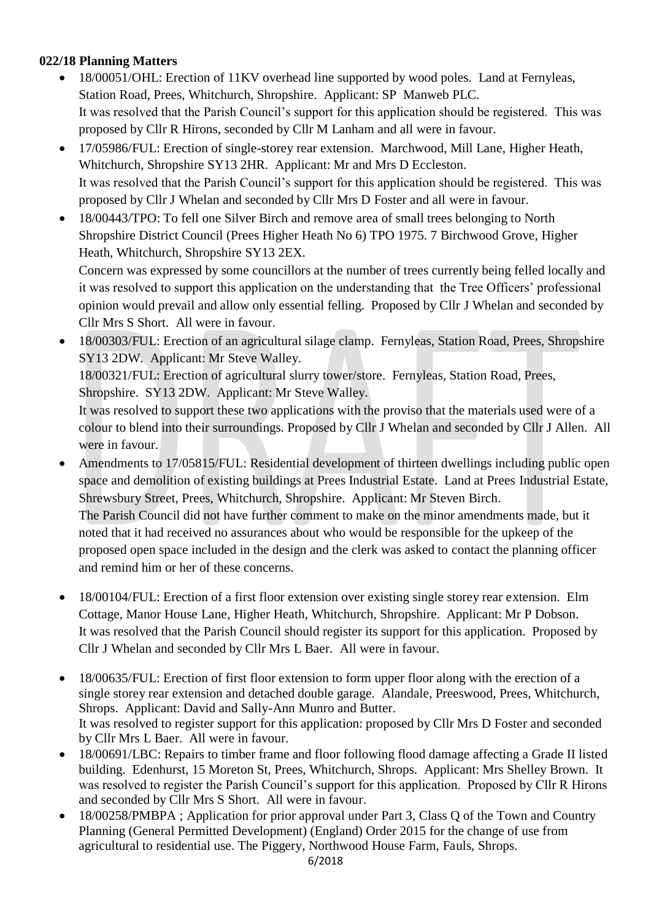# **022/18 Planning Matters**

- 18/00051/OHL: Erection of 11KV overhead line supported by wood poles. Land at Fernyleas, Station Road, Prees, Whitchurch, Shropshire. Applicant: SP Manweb PLC. It was resolved that the Parish Council's support for this application should be registered. This was proposed by Cllr R Hirons, seconded by Cllr M Lanham and all were in favour.
- 17/05986/FUL: Erection of single-storey rear extension. Marchwood, Mill Lane, Higher Heath, Whitchurch, Shropshire SY13 2HR. Applicant: Mr and Mrs D Eccleston. It was resolved that the Parish Council's support for this application should be registered. This was proposed by Cllr J Whelan and seconded by Cllr Mrs D Foster and all were in favour.
- 18/00443/TPO: To fell one Silver Birch and remove area of small trees belonging to North Shropshire District Council (Prees Higher Heath No 6) TPO 1975. 7 Birchwood Grove, Higher Heath, Whitchurch, Shropshire SY13 2EX.

Concern was expressed by some councillors at the number of trees currently being felled locally and it was resolved to support this application on the understanding that the Tree Officers' professional opinion would prevail and allow only essential felling. Proposed by Cllr J Whelan and seconded by Cllr Mrs S Short. All were in favour.

• 18/00303/FUL: Erection of an agricultural silage clamp. Fernyleas, Station Road, Prees, Shropshire SY13 2DW. Applicant: Mr Steve Walley.

18/00321/FUL: Erection of agricultural slurry tower/store. Fernyleas, Station Road, Prees, Shropshire. SY13 2DW. Applicant: Mr Steve Walley.

It was resolved to support these two applications with the proviso that the materials used were of a colour to blend into their surroundings. Proposed by Cllr J Whelan and seconded by Cllr J Allen. All were in favour.

- Amendments to 17/05815/FUL: Residential development of thirteen dwellings including public open space and demolition of existing buildings at Prees Industrial Estate. Land at Prees Industrial Estate, Shrewsbury Street, Prees, Whitchurch, Shropshire. Applicant: Mr Steven Birch. The Parish Council did not have further comment to make on the minor amendments made, but it noted that it had received no assurances about who would be responsible for the upkeep of the proposed open space included in the design and the clerk was asked to contact the planning officer and remind him or her of these concerns.
- 18/00104/FUL: Erection of a first floor extension over existing single storey rear extension. Elm Cottage, Manor House Lane, Higher Heath, Whitchurch, Shropshire. Applicant: Mr P Dobson. It was resolved that the Parish Council should register its support for this application. Proposed by Cllr J Whelan and seconded by Cllr Mrs L Baer. All were in favour.
- 18/00635/FUL: Erection of first floor extension to form upper floor along with the erection of a single storey rear extension and detached double garage. Alandale, Preeswood, Prees, Whitchurch, Shrops. Applicant: David and Sally-Ann Munro and Butter. It was resolved to register support for this application: proposed by Cllr Mrs D Foster and seconded by Cllr Mrs L Baer. All were in favour.
- 18/00691/LBC: Repairs to timber frame and floor following flood damage affecting a Grade II listed building. Edenhurst, 15 Moreton St, Prees, Whitchurch, Shrops. Applicant: Mrs Shelley Brown. It was resolved to register the Parish Council's support for this application. Proposed by Cllr R Hirons and seconded by Cllr Mrs S Short. All were in favour.
- 18/00258/PMBPA ; Application for prior approval under Part 3, Class Q of the Town and Country Planning (General Permitted Development) (England) Order 2015 for the change of use from agricultural to residential use. The Piggery, Northwood House Farm, Fauls, Shrops.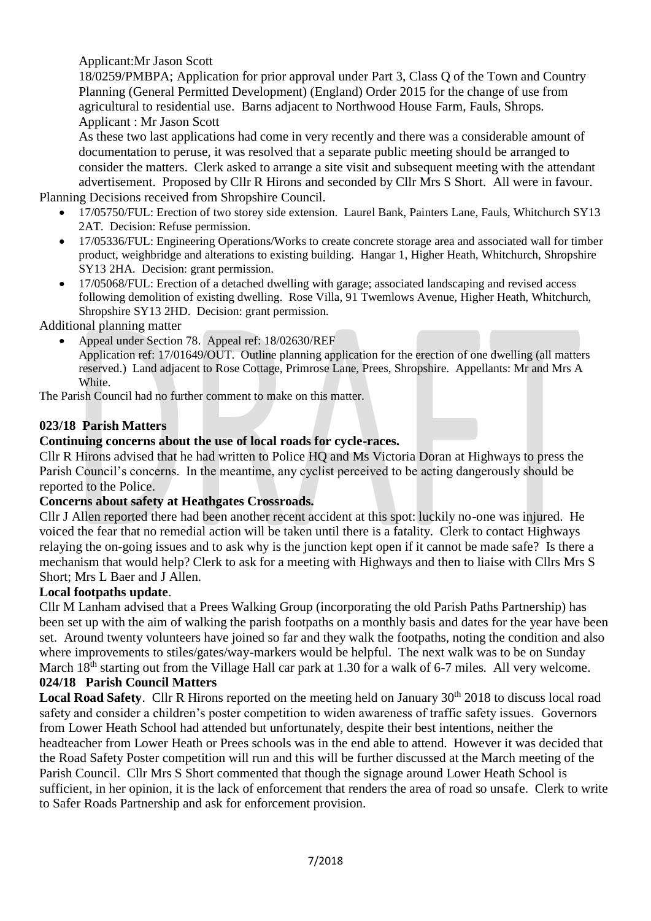# Applicant:Mr Jason Scott

18/0259/PMBPA; Application for prior approval under Part 3, Class Q of the Town and Country Planning (General Permitted Development) (England) Order 2015 for the change of use from agricultural to residential use. Barns adjacent to Northwood House Farm, Fauls, Shrops. Applicant : Mr Jason Scott

As these two last applications had come in very recently and there was a considerable amount of documentation to peruse, it was resolved that a separate public meeting should be arranged to consider the matters. Clerk asked to arrange a site visit and subsequent meeting with the attendant advertisement. Proposed by Cllr R Hirons and seconded by Cllr Mrs S Short. All were in favour.

Planning Decisions received from Shropshire Council.

- 17/05750/FUL: Erection of two storey side extension. Laurel Bank, Painters Lane, Fauls, Whitchurch SY13 2AT. Decision: Refuse permission.
- 17/05336/FUL: Engineering Operations/Works to create concrete storage area and associated wall for timber product, weighbridge and alterations to existing building. Hangar 1, Higher Heath, Whitchurch, Shropshire SY13 2HA. Decision: grant permission.
- 17/05068/FUL: Erection of a detached dwelling with garage; associated landscaping and revised access following demolition of existing dwelling. Rose Villa, 91 Twemlows Avenue, Higher Heath, Whitchurch, Shropshire SY13 2HD. Decision: grant permission.

Additional planning matter

• Appeal under Section 78. Appeal ref: 18/02630/REF Application ref: 17/01649/OUT. Outline planning application for the erection of one dwelling (all matters reserved.) Land adjacent to Rose Cottage, Primrose Lane, Prees, Shropshire. Appellants: Mr and Mrs A **White.** 

The Parish Council had no further comment to make on this matter.

### **023/18 Parish Matters**

### **Continuing concerns about the use of local roads for cycle-races.**

Cllr R Hirons advised that he had written to Police HQ and Ms Victoria Doran at Highways to press the Parish Council's concerns. In the meantime, any cyclist perceived to be acting dangerously should be reported to the Police.

### **Concerns about safety at Heathgates Crossroads.**

Cllr J Allen reported there had been another recent accident at this spot: luckily no-one was injured. He voiced the fear that no remedial action will be taken until there is a fatality. Clerk to contact Highways relaying the on-going issues and to ask why is the junction kept open if it cannot be made safe? Is there a mechanism that would help? Clerk to ask for a meeting with Highways and then to liaise with Cllrs Mrs S Short; Mrs L Baer and J Allen.

### **Local footpaths update**.

Cllr M Lanham advised that a Prees Walking Group (incorporating the old Parish Paths Partnership) has been set up with the aim of walking the parish footpaths on a monthly basis and dates for the year have been set. Around twenty volunteers have joined so far and they walk the footpaths, noting the condition and also where improvements to stiles/gates/way-markers would be helpful. The next walk was to be on Sunday March 18<sup>th</sup> starting out from the Village Hall car park at 1.30 for a walk of 6-7 miles. All very welcome.

### **024/18 Parish Council Matters**

Local Road Safety. Cllr R Hirons reported on the meeting held on January 30<sup>th</sup> 2018 to discuss local road safety and consider a children's poster competition to widen awareness of traffic safety issues. Governors from Lower Heath School had attended but unfortunately, despite their best intentions, neither the headteacher from Lower Heath or Prees schools was in the end able to attend. However it was decided that the Road Safety Poster competition will run and this will be further discussed at the March meeting of the Parish Council. Cllr Mrs S Short commented that though the signage around Lower Heath School is sufficient, in her opinion, it is the lack of enforcement that renders the area of road so unsafe. Clerk to write to Safer Roads Partnership and ask for enforcement provision.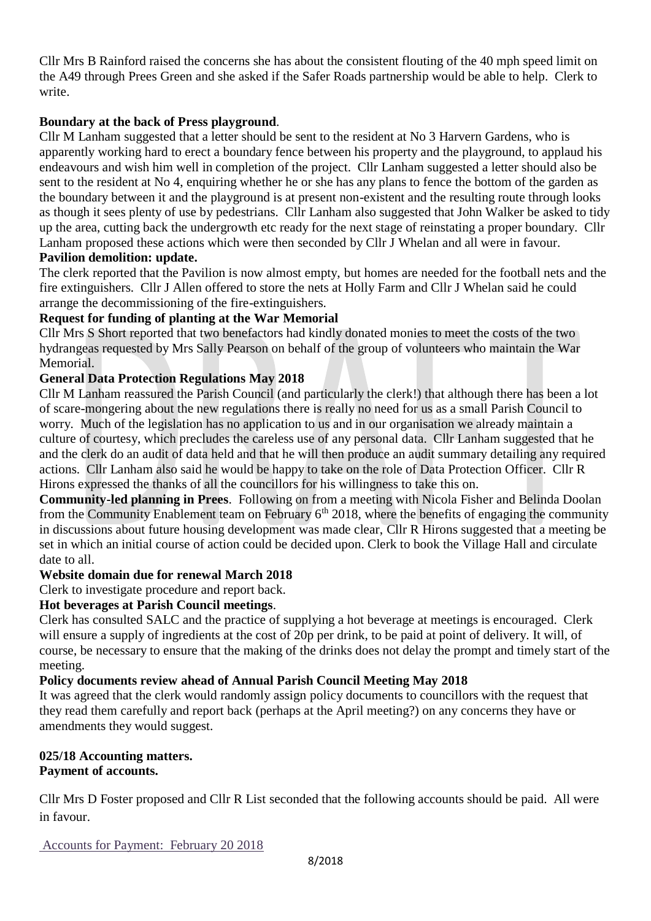Cllr Mrs B Rainford raised the concerns she has about the consistent flouting of the 40 mph speed limit on the A49 through Prees Green and she asked if the Safer Roads partnership would be able to help. Clerk to write.

### **Boundary at the back of Press playground**.

Cllr M Lanham suggested that a letter should be sent to the resident at No 3 Harvern Gardens, who is apparently working hard to erect a boundary fence between his property and the playground, to applaud his endeavours and wish him well in completion of the project. Cllr Lanham suggested a letter should also be sent to the resident at No 4, enquiring whether he or she has any plans to fence the bottom of the garden as the boundary between it and the playground is at present non-existent and the resulting route through looks as though it sees plenty of use by pedestrians. Cllr Lanham also suggested that John Walker be asked to tidy up the area, cutting back the undergrowth etc ready for the next stage of reinstating a proper boundary. Cllr Lanham proposed these actions which were then seconded by Cllr J Whelan and all were in favour.

# **Pavilion demolition: update.**

The clerk reported that the Pavilion is now almost empty, but homes are needed for the football nets and the fire extinguishers. Cllr J Allen offered to store the nets at Holly Farm and Cllr J Whelan said he could arrange the decommissioning of the fire-extinguishers.

### **Request for funding of planting at the War Memorial**

Cllr Mrs S Short reported that two benefactors had kindly donated monies to meet the costs of the two hydrangeas requested by Mrs Sally Pearson on behalf of the group of volunteers who maintain the War Memorial.

### **General Data Protection Regulations May 2018**

Cllr M Lanham reassured the Parish Council (and particularly the clerk!) that although there has been a lot of scare-mongering about the new regulations there is really no need for us as a small Parish Council to worry. Much of the legislation has no application to us and in our organisation we already maintain a culture of courtesy, which precludes the careless use of any personal data. Cllr Lanham suggested that he and the clerk do an audit of data held and that he will then produce an audit summary detailing any required actions. Cllr Lanham also said he would be happy to take on the role of Data Protection Officer. Cllr R Hirons expressed the thanks of all the councillors for his willingness to take this on.

**Community-led planning in Prees**. Following on from a meeting with Nicola Fisher and Belinda Doolan from the Community Enablement team on February  $6<sup>th</sup> 2018$ , where the benefits of engaging the community in discussions about future housing development was made clear, Cllr R Hirons suggested that a meeting be set in which an initial course of action could be decided upon. Clerk to book the Village Hall and circulate date to all.

### **Website domain due for renewal March 2018**

Clerk to investigate procedure and report back.

### **Hot beverages at Parish Council meetings**.

Clerk has consulted SALC and the practice of supplying a hot beverage at meetings is encouraged. Clerk will ensure a supply of ingredients at the cost of 20p per drink, to be paid at point of delivery. It will, of course, be necessary to ensure that the making of the drinks does not delay the prompt and timely start of the meeting.

### **Policy documents review ahead of Annual Parish Council Meeting May 2018**

It was agreed that the clerk would randomly assign policy documents to councillors with the request that they read them carefully and report back (perhaps at the April meeting?) on any concerns they have or amendments they would suggest.

### **025/18 Accounting matters. Payment of accounts.**

Cllr Mrs D Foster proposed and Cllr R List seconded that the following accounts should be paid. All were in favour.

Accounts for Payment: February 20 2018